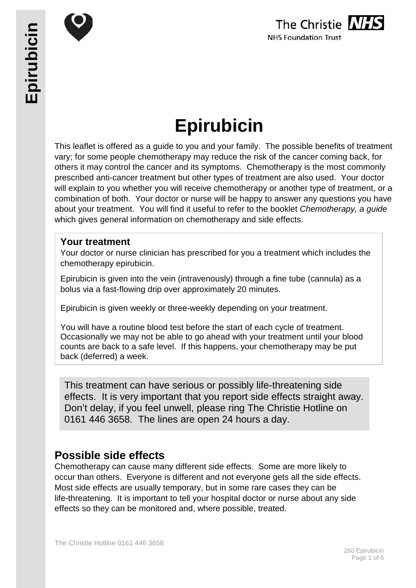



# **Epirubicin**

This leaflet is offered as a guide to you and your family. The possible benefits of treatment vary; for some people chemotherapy may reduce the risk of the cancer coming back, for others it may control the cancer and its symptoms. Chemotherapy is the most commonly prescribed anti-cancer treatment but other types of treatment are also used. Your doctor will explain to you whether you will receive chemotherapy or another type of treatment, or a combination of both. Your doctor or nurse will be happy to answer any questions you have about your treatment. You will find it useful to refer to the booklet *Chemotherapy, a guide* which gives general information on chemotherapy and side effects.

# **Your treatment**

Your doctor or nurse clinician has prescribed for you a treatment which includes the chemotherapy epirubicin.

Epirubicin is given into the vein (intravenously) through a fine tube (cannula) as a bolus via a fast-flowing drip over approximately 20 minutes.

Epirubicin is given weekly or three-weekly depending on your treatment.

You will have a routine blood test before the start of each cycle of treatment. Occasionally we may not be able to go ahead with your treatment until your blood counts are back to a safe level. If this happens, your chemotherapy may be put back (deferred) a week.

This treatment can have serious or possibly life-threatening side effects. It is very important that you report side effects straight away. Don't delay, if you feel unwell, please ring The Christie Hotline on 0161 446 3658. The lines are open 24 hours a day.

# **Possible side effects**

Chemotherapy can cause many different side effects. Some are more likely to occur than others. Everyone is different and not everyone gets all the side effects. Most side effects are usually temporary, but in some rare cases they can be life-threatening. It is important to tell your hospital doctor or nurse about any side effects so they can be monitored and, where possible, treated.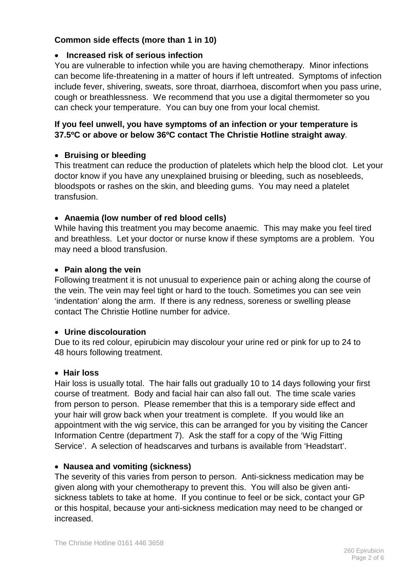# **Common side effects (more than 1 in 10)**

# • **Increased risk of serious infection**

You are vulnerable to infection while you are having chemotherapy. Minor infections can become life-threatening in a matter of hours if left untreated. Symptoms of infection include fever, shivering, sweats, sore throat, diarrhoea, discomfort when you pass urine, cough or breathlessness. We recommend that you use a digital thermometer so you can check your temperature. You can buy one from your local chemist.

# **If you feel unwell, you have symptoms of an infection or your temperature is 37.5ºC or above or below 36ºC contact The Christie Hotline straight away**.

# • **Bruising or bleeding**

This treatment can reduce the production of platelets which help the blood clot. Let your doctor know if you have any unexplained bruising or bleeding, such as nosebleeds, bloodspots or rashes on the skin, and bleeding gums. You may need a platelet transfusion.

## • **Anaemia (low number of red blood cells)**

While having this treatment you may become anaemic. This may make you feel tired and breathless. Let your doctor or nurse know if these symptoms are a problem. You may need a blood transfusion.

## • **Pain along the vein**

Following treatment it is not unusual to experience pain or aching along the course of the vein. The vein may feel tight or hard to the touch. Sometimes you can see vein 'indentation' along the arm. If there is any redness, soreness or swelling please contact The Christie Hotline number for advice.

#### • **Urine discolouration**

Due to its red colour, epirubicin may discolour your urine red or pink for up to 24 to 48 hours following treatment.

#### • **Hair loss**

Hair loss is usually total. The hair falls out gradually 10 to 14 days following your first course of treatment. Body and facial hair can also fall out. The time scale varies from person to person. Please remember that this is a temporary side effect and your hair will grow back when your treatment is complete. If you would like an appointment with the wig service, this can be arranged for you by visiting the Cancer Information Centre (department 7). Ask the staff for a copy of the 'Wig Fitting Service'. A selection of headscarves and turbans is available from 'Headstart'.

#### • **Nausea and vomiting (sickness)**

The severity of this varies from person to person. Anti-sickness medication may be given along with your chemotherapy to prevent this. You will also be given antisickness tablets to take at home. If you continue to feel or be sick, contact your GP or this hospital, because your anti-sickness medication may need to be changed or increased.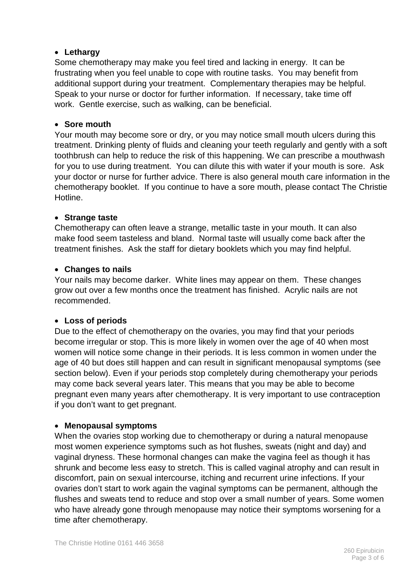# • **Lethargy**

Some chemotherapy may make you feel tired and lacking in energy. It can be frustrating when you feel unable to cope with routine tasks. You may benefit from additional support during your treatment. Complementary therapies may be helpful. Speak to your nurse or doctor for further information. If necessary, take time off work. Gentle exercise, such as walking, can be beneficial.

# • **Sore mouth**

Your mouth may become sore or dry, or you may notice small mouth ulcers during this treatment. Drinking plenty of fluids and cleaning your teeth regularly and gently with a soft toothbrush can help to reduce the risk of this happening. We can prescribe a mouthwash for you to use during treatment. You can dilute this with water if your mouth is sore. Ask your doctor or nurse for further advice. There is also general mouth care information in the chemotherapy booklet. If you continue to have a sore mouth, please contact The Christie Hotline.

# • **Strange taste**

Chemotherapy can often leave a strange, metallic taste in your mouth. It can also make food seem tasteless and bland. Normal taste will usually come back after the treatment finishes. Ask the staff for dietary booklets which you may find helpful.

# • **Changes to nails**

Your nails may become darker. White lines may appear on them. These changes grow out over a few months once the treatment has finished. Acrylic nails are not recommended.

# • **Loss of periods**

Due to the effect of chemotherapy on the ovaries, you may find that your periods become irregular or stop. This is more likely in women over the age of 40 when most women will notice some change in their periods. It is less common in women under the age of 40 but does still happen and can result in significant menopausal symptoms (see section below). Even if your periods stop completely during chemotherapy your periods may come back several years later. This means that you may be able to become pregnant even many years after chemotherapy. It is very important to use contraception if you don't want to get pregnant.

# • **Menopausal symptoms**

When the ovaries stop working due to chemotherapy or during a natural menopause most women experience symptoms such as hot flushes, sweats (night and day) and vaginal dryness. These hormonal changes can make the vagina feel as though it has shrunk and become less easy to stretch. This is called vaginal atrophy and can result in discomfort, pain on sexual intercourse, itching and recurrent urine infections. If your ovaries don't start to work again the vaginal symptoms can be permanent, although the flushes and sweats tend to reduce and stop over a small number of years. Some women who have already gone through menopause may notice their symptoms worsening for a time after chemotherapy.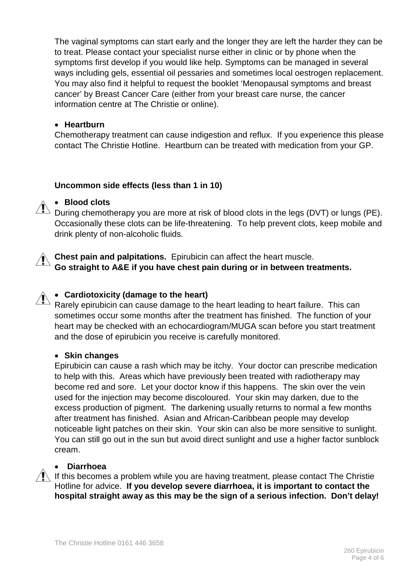The vaginal symptoms can start early and the longer they are left the harder they can be to treat. Please contact your specialist nurse either in clinic or by phone when the symptoms first develop if you would like help. Symptoms can be managed in several ways including gels, essential oil pessaries and sometimes local oestrogen replacement. You may also find it helpful to request the booklet 'Menopausal symptoms and breast cancer' by Breast Cancer Care (either from your breast care nurse, the cancer information centre at The Christie or online).

## • **Heartburn**

Chemotherapy treatment can cause indigestion and reflux. If you experience this please contact The Christie Hotline. Heartburn can be treated with medication from your GP.

## **Uncommon side effects (less than 1 in 10)**

## • **Blood clots**

During chemotherapy you are more at risk of blood clots in the legs (DVT) or lungs (PE). Occasionally these clots can be life-threatening. To help prevent clots, keep mobile and drink plenty of non-alcoholic fluids.

**Chest pain and palpitations.** Epirubicin can affect the heart muscle. **Go straight to A&E if you have chest pain during or in between treatments.**

# • **Cardiotoxicity (damage to the heart)**

Rarely epirubicin can cause damage to the heart leading to heart failure. This can sometimes occur some months after the treatment has finished. The function of your heart may be checked with an echocardiogram/MUGA scan before you start treatment and the dose of epirubicin you receive is carefully monitored.

#### • **Skin changes**

Epirubicin can cause a rash which may be itchy. Your doctor can prescribe medication to help with this. Areas which have previously been treated with radiotherapy may become red and sore. Let your doctor know if this happens. The skin over the vein used for the injection may become discoloured. Your skin may darken, due to the excess production of pigment. The darkening usually returns to normal a few months after treatment has finished. Asian and African-Caribbean people may develop noticeable light patches on their skin. Your skin can also be more sensitive to sunlight. You can still go out in the sun but avoid direct sunlight and use a higher factor sunblock cream.

#### • **Diarrhoea**

 $\sqrt{!}$  If this becomes a problem while you are having treatment, please contact The Christie Hotline for advice. **If you develop severe diarrhoea, it is important to contact the hospital straight away as this may be the sign of a serious infection. Don't delay!**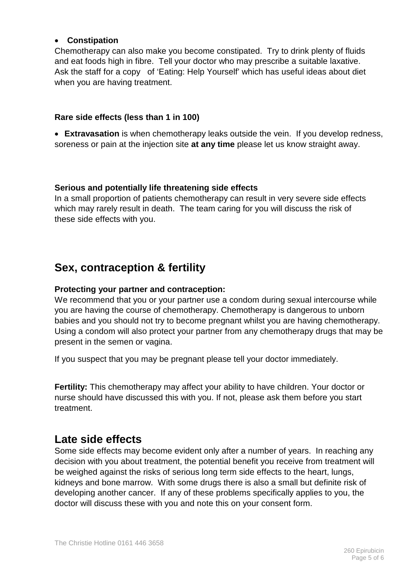## • **Constipation**

Chemotherapy can also make you become constipated. Try to drink plenty of fluids and eat foods high in fibre. Tell your doctor who may prescribe a suitable laxative. Ask the staff for a copy of 'Eating: Help Yourself' which has useful ideas about diet when you are having treatment.

## **Rare side effects (less than 1 in 100)**

• **Extravasation** is when chemotherapy leaks outside the vein. If you develop redness, soreness or pain at the injection site **at any time** please let us know straight away.

#### **Serious and potentially life threatening side effects**

In a small proportion of patients chemotherapy can result in very severe side effects which may rarely result in death. The team caring for you will discuss the risk of these side effects with you.

# **Sex, contraception & fertility**

## **Protecting your partner and contraception:**

We recommend that you or your partner use a condom during sexual intercourse while you are having the course of chemotherapy. Chemotherapy is dangerous to unborn babies and you should not try to become pregnant whilst you are having chemotherapy. Using a condom will also protect your partner from any chemotherapy drugs that may be present in the semen or vagina.

If you suspect that you may be pregnant please tell your doctor immediately.

**Fertility:** This chemotherapy may affect your ability to have children. Your doctor or nurse should have discussed this with you. If not, please ask them before you start treatment.

# **Late side effects**

Some side effects may become evident only after a number of years. In reaching any decision with you about treatment, the potential benefit you receive from treatment will be weighed against the risks of serious long term side effects to the heart, lungs, kidneys and bone marrow. With some drugs there is also a small but definite risk of developing another cancer. If any of these problems specifically applies to you, the doctor will discuss these with you and note this on your consent form.